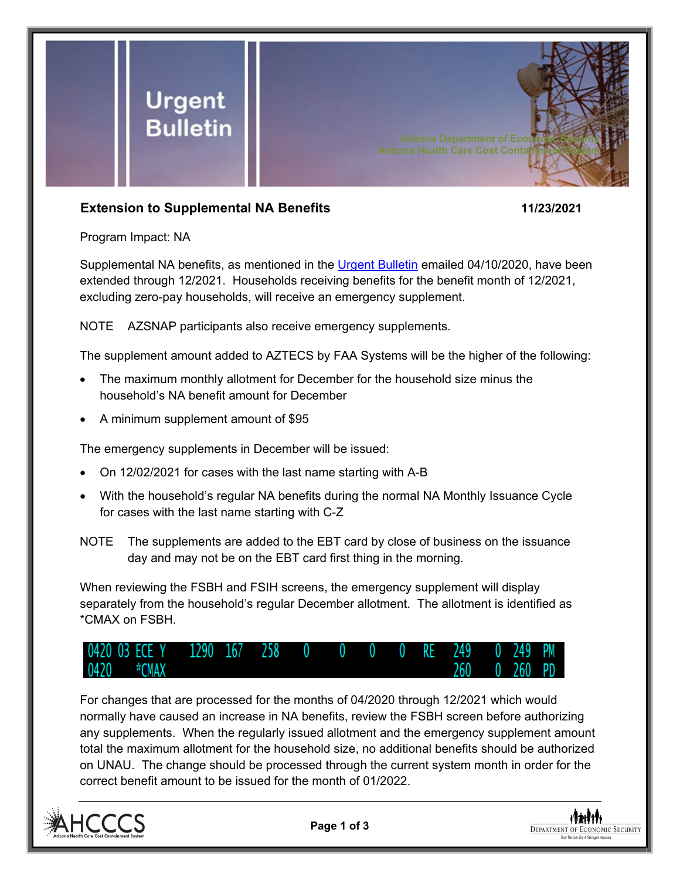

## **Extension to Supplemental NA Benefits 11/23/2021**

Program Impact: NA

Supplemental NA benefits, as mentioned in the [Urgent Bulletin](https://dbmefaapolicy.azdes.gov/FAA5/baggage/Urgent%20Bulletin%20(04-10-2020)%20-%20Supplemental%20Nutrition%20Assistance%20Benefits%20for%20Participants.pdf) emailed 04/10/2020, have been extended through 12/2021. Households receiving benefits for the benefit month of 12/2021, excluding zero-pay households, will receive an emergency supplement.

NOTE AZSNAP participants also receive emergency supplements.

The supplement amount added to AZTECS by FAA Systems will be the higher of the following:

- The maximum monthly allotment for December for the household size minus the household's NA benefit amount for December
- A minimum supplement amount of \$95

The emergency supplements in December will be issued:

- On 12/02/2021 for cases with the last name starting with A-B
- With the household's regular NA benefits during the normal NA Monthly Issuance Cycle for cases with the last name starting with C-Z
- NOTE The supplements are added to the EBT card by close of business on the issuance day and may not be on the EBT card first thing in the morning.

When reviewing the FSBH and FSIH screens, the emergency supplement will display separately from the household's regular December allotment. The allotment is identified as \*CMAX on FSBH.



For changes that are processed for the months of 04/2020 through 12/2021 which would normally have caused an increase in NA benefits, review the FSBH screen before authorizing any supplements. When the regularly issued allotment and the emergency supplement amount total the maximum allotment for the household size, no additional benefits should be authorized on UNAU. The change should be processed through the current system month in order for the correct benefit amount to be issued for the month of 01/2022.



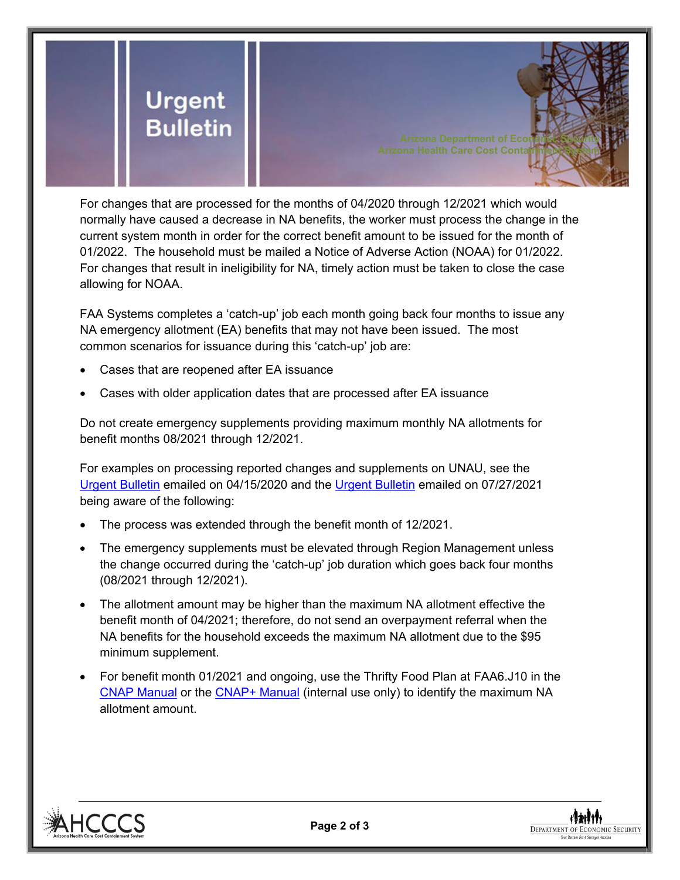

For changes that are processed for the months of 04/2020 through 12/2021 which would normally have caused a decrease in NA benefits, the worker must process the change in the current system month in order for the correct benefit amount to be issued for the month of 01/2022. The household must be mailed a Notice of Adverse Action (NOAA) for 01/2022. For changes that result in ineligibility for NA, timely action must be taken to close the case allowing for NOAA.

FAA Systems completes a 'catch-up' job each month going back four months to issue any NA emergency allotment (EA) benefits that may not have been issued. The most common scenarios for issuance during this 'catch-up' job are:

- Cases that are reopened after EA issuance
- Cases with older application dates that are processed after EA issuance

Do not create emergency supplements providing maximum monthly NA allotments for benefit months 08/2021 through 12/2021.

For examples on processing reported changes and supplements on UNAU, see the [Urgent Bulletin](https://dbmefaapolicy.azdes.gov/Archived_policy/baggage/Urgent%20Bulletin%20(04-15-2020)%20-%20Reported%20Changes%20and%20Supplements%20on%20UNAU.pdf) emailed on 04/15/2020 and the [Urgent Bulletin](https://dbmefaapolicy.azdes.gov/Archived_Policy/baggage/Urgent%20Bulletin%20(07-27-2021)%20-%20EA%20$95%20Minimum%20Clarification.pdf) emailed on 07/27/2021 being aware of the following:

- The process was extended through the benefit month of 12/2021.
- The emergency supplements must be elevated through Region Management unless the change occurred during the 'catch-up' job duration which goes back four months (08/2021 through 12/2021).
- The allotment amount may be higher than the maximum NA allotment effective the benefit month of 04/2021; therefore, do not send an overpayment referral when the NA benefits for the household exceeds the maximum NA allotment due to the \$95 minimum supplement.
- For benefit month 01/2021 and ongoing, use the Thrifty Food Plan at FAA6.J10 in the [CNAP Manual](https://dbmefaapolicy.azdes.gov/#page/FAA6/Thrifty_Food_Plan_(NA).html) or the [CNAP+ Manual](https://cnap4staff.azdes.gov/#page/FAA6/Thrifty_Food_Plan_(NA).html) (internal use only) to identify the maximum NA allotment amount.